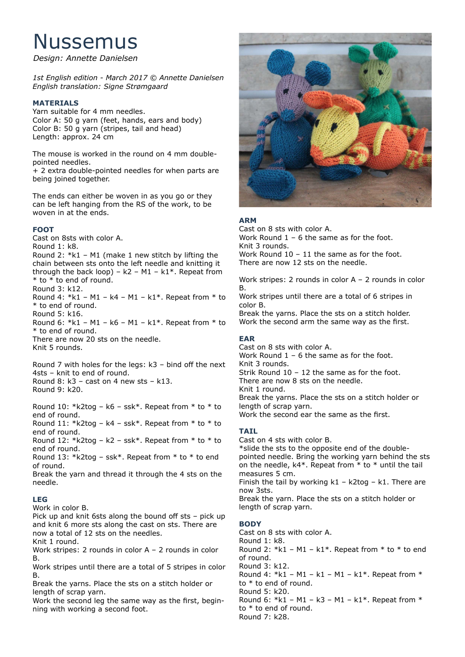# Nussemus

*Design: Annette Danielsen*

*1st English edition - March 2017 © Annette Danielsen English translation: Signe Strømgaard*

# **MATERIALS**

Yarn suitable for 4 mm needles. Color A: 50 g yarn (feet, hands, ears and body) Color B: 50 g yarn (stripes, tail and head) Length: approx. 24 cm

The mouse is worked in the round on 4 mm doublepointed needles.

+ 2 extra double-pointed needles for when parts are being joined together.

The ends can either be woven in as you go or they can be left hanging from the RS of the work, to be woven in at the ends.

## **FOOT**

Cast on 8sts with color A. Round 1: k8. Round 2:  $*k1 - M1$  (make 1 new stitch by lifting the chain between sts onto the left needle and knitting it through the back loop) –  $k2 - M1 - k1$ \*. Repeat from \* to \* to end of round. Round 3: k12. Round 4:  $*k1 - M1 - k4 - M1 - k1*$ . Repeat from  $*$  to \* to end of round. Round 5: k16. Round 6:  $*k1 - M1 - k6 - M1 - k1*$ . Repeat from  $*$  to \* to end of round. There are now 20 sts on the needle. Knit 5 rounds.

Round 7 with holes for the legs: k3 – bind off the next 4sts – knit to end of round. Round  $8: k3 - cast$  on 4 new sts –  $k13$ . Round 9: k20.

Round 10: \*k2tog – k6 – ssk\*. Repeat from \* to \* to end of round.

Round 11:  $*$ k2tog – k4 – ssk $*$ . Repeat from  $*$  to  $*$  to end of round.

Round 12:  $*$ k2tog – k2 – ssk $*$ . Repeat from  $*$  to  $*$  to end of round.

Round 13:  $*$ k2tog – ssk $*$ . Repeat from  $*$  to  $*$  to end of round.

Break the yarn and thread it through the 4 sts on the needle.

#### **LEG**

Work in color B.

Pick up and knit 6sts along the bound off sts – pick up and knit 6 more sts along the cast on sts. There are now a total of 12 sts on the needles.

Knit 1 round.

Work stripes: 2 rounds in color A – 2 rounds in color B.

Work stripes until there are a total of 5 stripes in color B.

Break the yarns. Place the sts on a stitch holder or length of scrap yarn.

Work the second leg the same way as the first, beginning with working a second foot.



## **ARM**

Cast on 8 sts with color A. Work Round 1 – 6 the same as for the foot. Knit 3 rounds. Work Round 10 – 11 the same as for the foot. There are now 12 sts on the needle.

Work stripes: 2 rounds in color A – 2 rounds in color B.

Work stripes until there are a total of 6 stripes in color B.

Break the yarns. Place the sts on a stitch holder. Work the second arm the same way as the first.

#### **EAR**

Cast on 8 sts with color A. Work Round  $1 - 6$  the same as for the foot. Knit 3 rounds. Strik Round 10 – 12 the same as for the foot. There are now 8 sts on the needle. Knit 1 round. Break the yarns. Place the sts on a stitch holder or length of scrap yarn. Work the second ear the same as the first.

# **TAIL**

Cast on 4 sts with color B. \*slide the sts to the opposite end of the doublepointed needle. Bring the working yarn behind the sts on the needle,  $k4$ <sup>\*</sup>. Repeat from  $*$  to  $*$  until the tail measures 5 cm. Finish the tail by working  $k1 - k2t$ og – k1. There are now 3sts.

Break the yarn. Place the sts on a stitch holder or length of scrap yarn.

# **BODY**

Cast on 8 sts with color A. Round 1: k8. Round 2:  $*k1 - M1 - k1*$ . Repeat from  $*$  to  $*$  to end of round. Round 3: k12. Round 4:  $*k1 - M1 - k1 - M1 - k1*$ . Repeat from  $*$ to \* to end of round. Round 5: k20. Round 6:  $*k1 - M1 - k3 - M1 - k1*$ . Repeat from  $*$ to \* to end of round. Round 7: k28.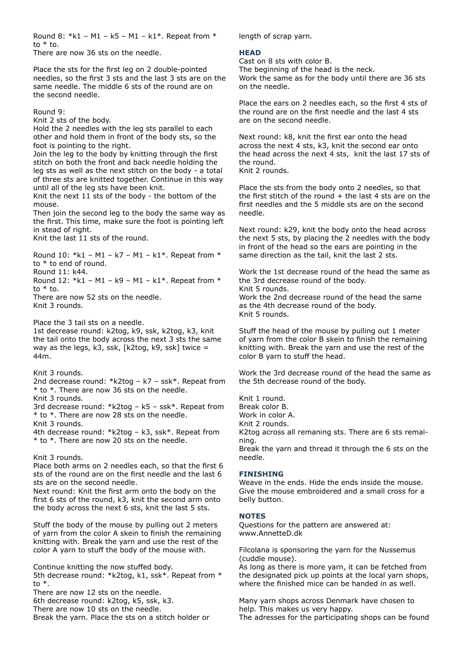Round 8:  $*k1 - M1 - k5 - M1 - k1*$ . Repeat from  $*$ to  $*$  to.

There are now 36 sts on the needle.

Place the sts for the first leg on 2 double-pointed needles, so the first 3 sts and the last 3 sts are on the same needle. The middle 6 sts of the round are on the second needle.

Round 9:

Knit 2 sts of the body.

Hold the 2 needles with the leg sts parallel to each other and hold them in front of the body sts, so the foot is pointing to the right.

Join the leg to the body by knitting through the first stitch on both the front and back needle holding the leg sts as well as the next stitch on the body - a total of three sts are knitted together. Continue in this way until all of the leg sts have been knit.

Knit the next 11 sts of the body - the bottom of the mouse.

Then join the second leg to the body the same way as the first. This time, make sure the foot is pointing left in stead of right.

Knit the last 11 sts of the round.

Round 10:  $*k1 - M1 - k7 - M1 - k1*$ . Repeat from  $*$ to \* to end of round.

Round 11: k44.

Round 12:  $*k1 - M1 - k9 - M1 - k1*$ . Repeat from  $*$ to \* to.

There are now 52 sts on the needle. Knit 3 rounds.

Place the 3 tail sts on a needle.

1st decrease round: k2tog, k9, ssk, k2tog, k3, knit the tail onto the body across the next 3 sts the same way as the legs, k3, ssk,  $[k2top, k9, sk]$  twice = 44m.

#### Knit 3 rounds.

2nd decrease round: \*k2tog – k7 – ssk\*. Repeat from \* to \*. There are now 36 sts on the needle. Knit 3 rounds.

3rd decrease round: \*k2tog – k5 – ssk\*. Repeat from \* to \*. There are now 28 sts on the needle.

Knit 3 rounds.

4th decrease round: \*k2tog – k3, ssk\*. Repeat from \* to \*. There are now 20 sts on the needle.

#### Knit 3 rounds.

Place both arms on 2 needles each, so that the first 6 sts of the round are on the first needle and the last 6 sts are on the second needle.

Next round: Knit the first arm onto the body on the first 6 sts of the round, k3, knit the second arm onto the body across the next 6 sts, knit the last 5 sts.

Stuff the body of the mouse by pulling out 2 meters of yarn from the color A skein to finish the remaining knitting with. Break the yarn and use the rest of the color A yarn to stuff the body of the mouse with.

Continue knitting the now stuffed body. 5th decrease round: \*k2tog, k1, ssk\*. Repeat from \* to \*. There are now 12 sts on the needle.

6th decrease round: k2tog, k5, ssk, k3.

There are now 10 sts on the needle.

Break the yarn. Place the sts on a stitch holder or

length of scrap yarn.

#### **HEAD**

Cast on 8 sts with color B. The beginning of the head is the neck. Work the same as for the body until there are 36 sts on the needle.

Place the ears on 2 needles each, so the first 4 sts of the round are on the first needle and the last 4 sts are on the second needle.

Next round: k8, knit the first ear onto the head across the next 4 sts, k3, knit the second ear onto the head across the next 4 sts, knit the last 17 sts of the round. Knit 2 rounds.

Place the sts from the body onto 2 needles, so that the first stitch of the round  $+$  the last 4 sts are on the first needles and the 5 middle sts are on the second needle.

Next round: k29, knit the body onto the head across the next 5 sts, by placing the 2 needles with the body in front of the head so the ears are pointing in the same direction as the tail, knit the last 2 sts.

Work the 1st decrease round of the head the same as the 3rd decrease round of the body. Knit 5 rounds.

Work the 2nd decrease round of the head the same as the 4th decrease round of the body. Knit 5 rounds.

Stuff the head of the mouse by pulling out 1 meter of yarn from the color B skein to finish the remaining knitting with. Break the yarn and use the rest of the color B yarn to stuff the head.

Work the 3rd decrease round of the head the same as the 5th decrease round of the body.

Knit 1 round. Break color B. Work in color A. Knit 2 rounds. K2tog across all remaning sts. There are 6 sts remaining. Break the yarn and thread it through the 6 sts on the needle.

**FINISHING**

Weave in the ends. Hide the ends inside the mouse. Give the mouse embroidered and a small cross for a belly button.

#### **NOTES**

Questions for the pattern are answered at: www.AnnetteD.dk

Filcolana is sponsoring the yarn for the Nussemus (cuddle mouse).

As long as there is more yarn, it can be fetched from the designated pick up points at the local yarn shops, where the finished mice can be handed in as well.

Many yarn shops across Denmark have chosen to help. This makes us very happy. The adresses for the participating shops can be found